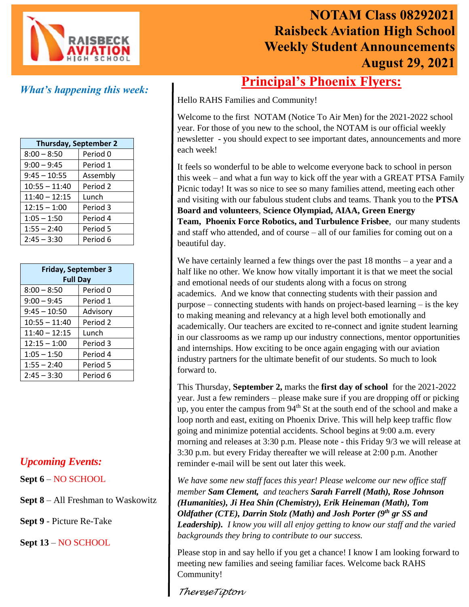

# **NOTAM Class 08292021 Raisbeck Aviation High School Weekly Student Announcements August 29, 2021**

### *What's happening this week:*

| <b>Thursday, September 2</b> |          |
|------------------------------|----------|
| $8:00 - 8:50$                | Period 0 |
| $9:00 - 9:45$                | Period 1 |
| $9:45 - 10:55$               | Assembly |
| $10:55 - 11:40$              | Period 2 |
| $11:40 - 12:15$              | Lunch    |
| $12:15 - 1:00$               | Period 3 |
| $1:05 - 1:50$                | Period 4 |
| $1:55 - 2:40$                | Period 5 |
| $2:45 - 3:30$                | Period 6 |

| <b>Friday, September 3</b><br><b>Full Day</b> |          |
|-----------------------------------------------|----------|
| $8:00 - 8:50$                                 | Period 0 |
| $9:00 - 9:45$                                 | Period 1 |
| $9:45 - 10:50$                                | Advisory |
| $10:55 - 11:40$                               | Period 2 |
| $11:40 - 12:15$                               | Lunch    |
| $12:15 - 1:00$                                | Period 3 |
| $1:05 - 1:50$                                 | Period 4 |
| $1:55 - 2:40$                                 | Period 5 |
| $2:45 - 3:30$                                 | Period 6 |

#### *Upcoming Events:*

**Sept 6** – NO SCHOOL

**Sept 8** – All Freshman to Waskowitz

**Sept 9** - Picture Re-Take

**Sept 13** – NO SCHOOL

## **Principal's Phoenix Flyers:**

Hello RAHS Families and Community!

Welcome to the first NOTAM (Notice To Air Men) for the 2021-2022 school year. For those of you new to the school, the NOTAM is our official weekly newsletter - you should expect to see important dates, announcements and more each week!

It feels so wonderful to be able to welcome everyone back to school in person this week – and what a fun way to kick off the year with a GREAT PTSA Family Picnic today! It was so nice to see so many families attend, meeting each other and visiting with our fabulous student clubs and teams. Thank you to the **PTSA Board and volunteers**, **Science Olympiad, AIAA, Green Energy Team, Phoenix Force Robotics, and Turbulence Frisbee**, our many students and staff who attended, and of course – all of our families for coming out on a beautiful day.

We have certainly learned a few things over the past 18 months – a year and a half like no other. We know how vitally important it is that we meet the social and emotional needs of our students along with a focus on strong academics. And we know that connecting students with their passion and purpose – connecting students with hands on project-based learning – is the key to making meaning and relevancy at a high level both emotionally and academically. Our teachers are excited to re-connect and ignite student learning in our classrooms as we ramp up our industry connections, mentor opportunities and internships. How exciting to be once again engaging with our aviation industry partners for the ultimate benefit of our students. So much to look forward to.

This Thursday, **September 2,** marks the **first day of school** for the 2021-2022 year. Just a few reminders – please make sure if you are dropping off or picking up, you enter the campus from  $94<sup>th</sup>$  St at the south end of the school and make a loop north and east, exiting on Phoenix Drive. This will help keep traffic flow going and minimize potential accidents. School begins at 9:00 a.m. every morning and releases at 3:30 p.m. Please note - this Friday 9/3 we will release at 3:30 p.m. but every Friday thereafter we will release at 2:00 p.m. Another reminder e-mail will be sent out later this week.

*We have some new staff faces this year! Please welcome our new office staff member Sam Clement, and teachers Sarah Farrell (Math), Rose Johnson (Humanities), Ji Hea Shin (Chemistry), Erik Heineman (Math), Tom Oldfather (CTE), Darrin Stolz (Math) and Josh Porter (9th gr SS and Leadership). I know you will all enjoy getting to know our staff and the varied backgrounds they bring to contribute to our success.*

Please stop in and say hello if you get a chance! I know I am looking forward to meeting new families and seeing familiar faces. Welcome back RAHS Community!

#### *ThereseTipton*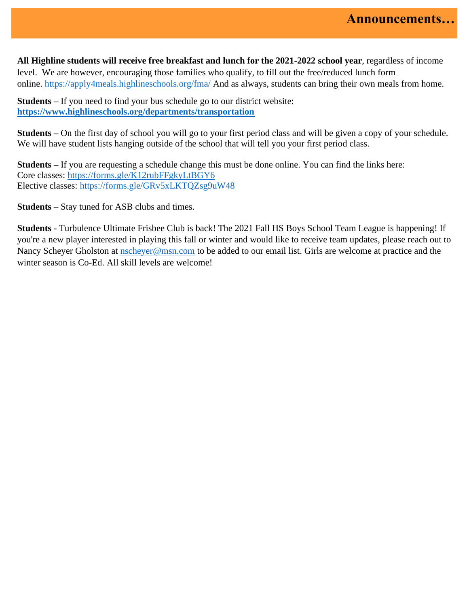**All Highline students will receive free breakfast and lunch for the 2021-2022 school year**, regardless of income level. We are however, encouraging those families who qualify, to fill out the free/reduced lunch form online. [https://apply4meals.highlineschools.org/fma/](https://nam10.safelinks.protection.outlook.com/?url=https%3A%2F%2Fapply4meals.highlineschools.org%2Ffma%2F&data=04%7C01%7CTrish.McGuire%40highlineschools.org%7Cacf76fe2d5e740e059b408d96b5d3a1c%7Ce56e55358e7b44d0bfa81d50833ab846%7C1%7C0%7C637658870418879794%7CUnknown%7CTWFpbGZsb3d8eyJWIjoiMC4wLjAwMDAiLCJQIjoiV2luMzIiLCJBTiI6Ik1haWwiLCJXVCI6Mn0%3D%7C1000&sdata=PXm9%2FbLf7dKk2F5HFrjD8RVU712WFkcdFJmXSomnQuM%3D&reserved=0) And as always, students can bring their own meals from home.

**Students –** If you need to find your bus schedule go to our district website: **<https://www.highlineschools.org/departments/transportation>**

**Students –** On the first day of school you will go to your first period class and will be given a copy of your schedule. We will have student lists hanging outside of the school that will tell you your first period class.

**Students –** If you are requesting a schedule change this must be done online. You can find the links here: Core classes: [https://forms.gle/K12rubFFgkyLtBGY6](https://nam10.safelinks.protection.outlook.com/?url=https%3A%2F%2Fforms.gle%2FK12rubFFgkyLtBGY6&data=04%7C01%7CTrish.McGuire%40highlineschools.org%7Ca20ebfe7dcaa4fc8c94b08d96678b06c%7Ce56e55358e7b44d0bfa81d50833ab846%7C1%7C0%7C637653490799568275%7CUnknown%7CTWFpbGZsb3d8eyJWIjoiMC4wLjAwMDAiLCJQIjoiV2luMzIiLCJBTiI6Ik1haWwiLCJXVCI6Mn0%3D%7C1000&sdata=t%2BqIVWx%2FZaHyeHn4WQtRHF304crk%2BM58gkPu%2B88kDB0%3D&reserved=0) Elective classes: [https://forms.gle/GRv5xLKTQZsg9uW48](https://nam10.safelinks.protection.outlook.com/?url=https%3A%2F%2Fforms.gle%2FGRv5xLKTQZsg9uW48&data=04%7C01%7CTrish.McGuire%40highlineschools.org%7Ca20ebfe7dcaa4fc8c94b08d96678b06c%7Ce56e55358e7b44d0bfa81d50833ab846%7C1%7C0%7C637653490799578227%7CUnknown%7CTWFpbGZsb3d8eyJWIjoiMC4wLjAwMDAiLCJQIjoiV2luMzIiLCJBTiI6Ik1haWwiLCJXVCI6Mn0%3D%7C1000&sdata=4YmSpgjOrn7wksoRn38vlj5gwa389%2BZKDWqUDfHh5Kw%3D&reserved=0)

**Students** – Stay tuned for ASB clubs and times.

**Students** - Turbulence Ultimate Frisbee Club is back! The 2021 Fall HS Boys School Team League is happening! If you're a new player interested in playing this fall or winter and would like to receive team updates, please reach out to Nancy Scheyer Gholston at [nscheyer@msn.com](mailto:nscheyer@msn.com) to be added to our email list. Girls are welcome at practice and the winter season is Co-Ed. All skill levels are welcome!